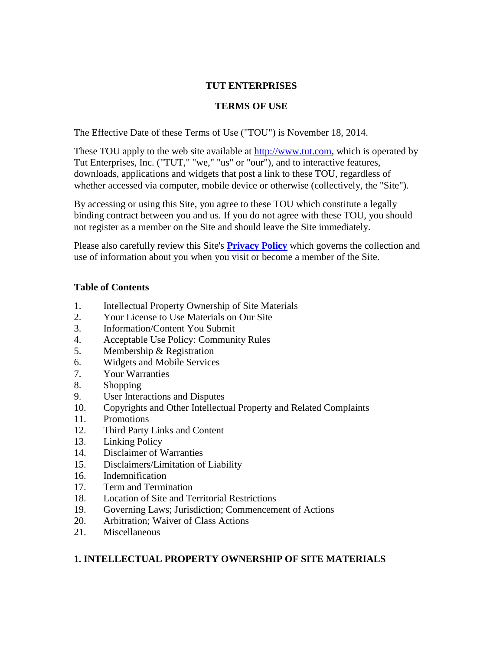#### **TUT ENTERPRISES**

## **TERMS OF USE**

The Effective Date of these Terms of Use ("TOU") is November 18, 2014.

These TOU apply to the web site available at [http://www.tut.com,](http://www.tut.com/) which is operated by Tut Enterprises, Inc. ("TUT," "we," "us" or "our"), and to interactive features, downloads, applications and widgets that post a link to these TOU, regardless of whether accessed via computer, mobile device or otherwise (collectively, the "Site").

By accessing or using this Site, you agree to these TOU which constitute a legally binding contract between you and us. If you do not agree with these TOU, you should not register as a member on the Site and should leave the Site immediately.

Please also carefully review this Site's **[Privacy Policy](http://www.tut.com/privacy/)** which governs the collection and use of information about you when you visit or become a member of the Site.

#### **Table of Contents**

- 1. Intellectual Property Ownership of Site Materials
- 2. Your License to Use Materials on Our Site
- 3. Information/Content You Submit
- 4. Acceptable Use Policy: Community Rules
- 5. Membership & Registration
- 6. Widgets and Mobile Services
- 7. Your Warranties
- 8. Shopping
- 9. User Interactions and Disputes
- 10. Copyrights and Other Intellectual Property and Related Complaints
- 11. Promotions
- 12. Third Party Links and Content
- 13. Linking Policy
- 14. Disclaimer of Warranties
- 15. Disclaimers/Limitation of Liability
- 16. Indemnification
- 17. Term and Termination
- 18. Location of Site and Territorial Restrictions
- 19. Governing Laws; Jurisdiction; Commencement of Actions
- 20. Arbitration; Waiver of Class Actions
- 21. Miscellaneous

#### **1. INTELLECTUAL PROPERTY OWNERSHIP OF SITE MATERIALS**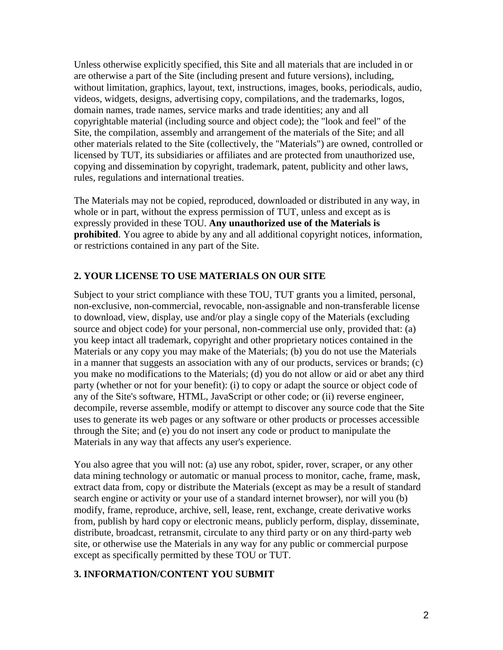Unless otherwise explicitly specified, this Site and all materials that are included in or are otherwise a part of the Site (including present and future versions), including, without limitation, graphics, layout, text, instructions, images, books, periodicals, audio, videos, widgets, designs, advertising copy, compilations, and the trademarks, logos, domain names, trade names, service marks and trade identities; any and all copyrightable material (including source and object code); the "look and feel" of the Site, the compilation, assembly and arrangement of the materials of the Site; and all other materials related to the Site (collectively, the "Materials") are owned, controlled or licensed by TUT, its subsidiaries or affiliates and are protected from unauthorized use, copying and dissemination by copyright, trademark, patent, publicity and other laws, rules, regulations and international treaties.

The Materials may not be copied, reproduced, downloaded or distributed in any way, in whole or in part, without the express permission of TUT, unless and except as is expressly provided in these TOU. **Any unauthorized use of the Materials is prohibited**. You agree to abide by any and all additional copyright notices, information, or restrictions contained in any part of the Site.

## **2. YOUR LICENSE TO USE MATERIALS ON OUR SITE**

Subject to your strict compliance with these TOU, TUT grants you a limited, personal, non-exclusive, non-commercial, revocable, non-assignable and non-transferable license to download, view, display, use and/or play a single copy of the Materials (excluding source and object code) for your personal, non-commercial use only, provided that: (a) you keep intact all trademark, copyright and other proprietary notices contained in the Materials or any copy you may make of the Materials; (b) you do not use the Materials in a manner that suggests an association with any of our products, services or brands; (c) you make no modifications to the Materials; (d) you do not allow or aid or abet any third party (whether or not for your benefit): (i) to copy or adapt the source or object code of any of the Site's software, HTML, JavaScript or other code; or (ii) reverse engineer, decompile, reverse assemble, modify or attempt to discover any source code that the Site uses to generate its web pages or any software or other products or processes accessible through the Site; and (e) you do not insert any code or product to manipulate the Materials in any way that affects any user's experience.

You also agree that you will not: (a) use any robot, spider, rover, scraper, or any other data mining technology or automatic or manual process to monitor, cache, frame, mask, extract data from, copy or distribute the Materials (except as may be a result of standard search engine or activity or your use of a standard internet browser), nor will you (b) modify, frame, reproduce, archive, sell, lease, rent, exchange, create derivative works from, publish by hard copy or electronic means, publicly perform, display, disseminate, distribute, broadcast, retransmit, circulate to any third party or on any third-party web site, or otherwise use the Materials in any way for any public or commercial purpose except as specifically permitted by these TOU or TUT.

#### **3. INFORMATION/CONTENT YOU SUBMIT**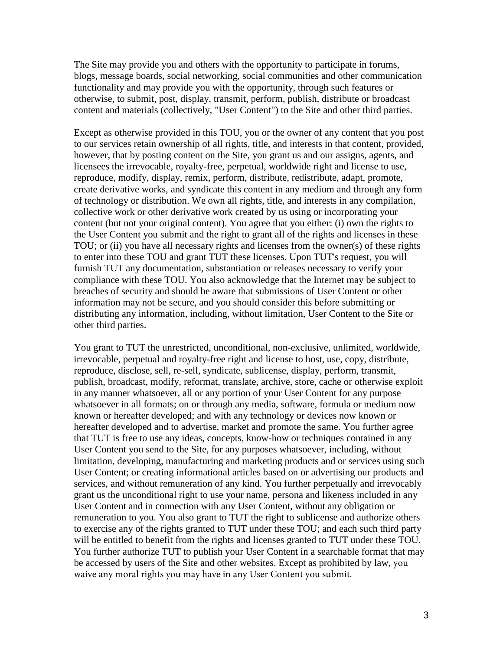The Site may provide you and others with the opportunity to participate in forums, blogs, message boards, social networking, social communities and other communication functionality and may provide you with the opportunity, through such features or otherwise, to submit, post, display, transmit, perform, publish, distribute or broadcast content and materials (collectively, "User Content") to the Site and other third parties.

Except as otherwise provided in this TOU, you or the owner of any content that you post to our services retain ownership of all rights, title, and interests in that content, provided, however, that by posting content on the Site, you grant us and our assigns, agents, and licensees the irrevocable, royalty-free, perpetual, worldwide right and license to use, reproduce, modify, display, remix, perform, distribute, redistribute, adapt, promote, create derivative works, and syndicate this content in any medium and through any form of technology or distribution. We own all rights, title, and interests in any compilation, collective work or other derivative work created by us using or incorporating your content (but not your original content). You agree that you either: (i) own the rights to the User Content you submit and the right to grant all of the rights and licenses in these TOU; or (ii) you have all necessary rights and licenses from the owner(s) of these rights to enter into these TOU and grant TUT these licenses. Upon TUT's request, you will furnish TUT any documentation, substantiation or releases necessary to verify your compliance with these TOU. You also acknowledge that the Internet may be subject to breaches of security and should be aware that submissions of User Content or other information may not be secure, and you should consider this before submitting or distributing any information, including, without limitation, User Content to the Site or other third parties.

You grant to TUT the unrestricted, unconditional, non-exclusive, unlimited, worldwide, irrevocable, perpetual and royalty-free right and license to host, use, copy, distribute, reproduce, disclose, sell, re-sell, syndicate, sublicense, display, perform, transmit, publish, broadcast, modify, reformat, translate, archive, store, cache or otherwise exploit in any manner whatsoever, all or any portion of your User Content for any purpose whatsoever in all formats; on or through any media, software, formula or medium now known or hereafter developed; and with any technology or devices now known or hereafter developed and to advertise, market and promote the same. You further agree that TUT is free to use any ideas, concepts, know-how or techniques contained in any User Content you send to the Site, for any purposes whatsoever, including, without limitation, developing, manufacturing and marketing products and or services using such User Content; or creating informational articles based on or advertising our products and services, and without remuneration of any kind. You further perpetually and irrevocably grant us the unconditional right to use your name, persona and likeness included in any User Content and in connection with any User Content, without any obligation or remuneration to you. You also grant to TUT the right to sublicense and authorize others to exercise any of the rights granted to TUT under these TOU; and each such third party will be entitled to benefit from the rights and licenses granted to TUT under these TOU. You further authorize TUT to publish your User Content in a searchable format that may be accessed by users of the Site and other websites. Except as prohibited by law, you waive any moral rights you may have in any User Content you submit.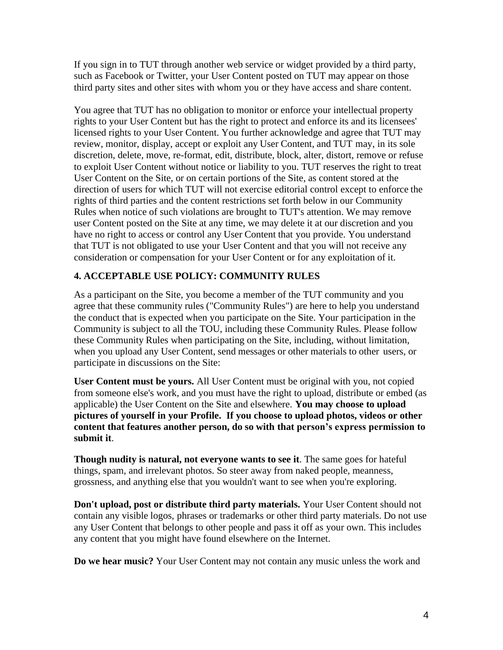If you sign in to TUT through another web service or widget provided by a third party, such as Facebook or Twitter, your User Content posted on TUT may appear on those third party sites and other sites with whom you or they have access and share content.

You agree that TUT has no obligation to monitor or enforce your intellectual property rights to your User Content but has the right to protect and enforce its and its licensees' licensed rights to your User Content. You further acknowledge and agree that TUT may review, monitor, display, accept or exploit any User Content, and TUT may, in its sole discretion, delete, move, re-format, edit, distribute, block, alter, distort, remove or refuse to exploit User Content without notice or liability to you. TUT reserves the right to treat User Content on the Site, or on certain portions of the Site, as content stored at the direction of users for which TUT will not exercise editorial control except to enforce the rights of third parties and the content restrictions set forth below in our Community Rules when notice of such violations are brought to TUT's attention. We may remove user Content posted on the Site at any time, we may delete it at our discretion and you have no right to access or control any User Content that you provide. You understand that TUT is not obligated to use your User Content and that you will not receive any consideration or compensation for your User Content or for any exploitation of it.

# **4. ACCEPTABLE USE POLICY: COMMUNITY RULES**

As a participant on the Site, you become a member of the TUT community and you agree that these community rules ("Community Rules") are here to help you understand the conduct that is expected when you participate on the Site. Your participation in the Community is subject to all the TOU, including these Community Rules. Please follow these Community Rules when participating on the Site, including, without limitation, when you upload any User Content, send messages or other materials to other users, or participate in discussions on the Site:

**User Content must be yours.** All User Content must be original with you, not copied from someone else's work, and you must have the right to upload, distribute or embed (as applicable) the User Content on the Site and elsewhere. **You may choose to upload pictures of yourself in your Profile. If you choose to upload photos, videos or other content that features another person, do so with that person's express permission to submit it**.

**Though nudity is natural, not everyone wants to see it**. The same goes for hateful things, spam, and irrelevant photos. So steer away from naked people, meanness, grossness, and anything else that you wouldn't want to see when you're exploring.

**Don't upload, post or distribute third party materials.** Your User Content should not contain any visible logos, phrases or trademarks or other third party materials. Do not use any User Content that belongs to other people and pass it off as your own. This includes any content that you might have found elsewhere on the Internet.

**Do we hear music?** Your User Content may not contain any music unless the work and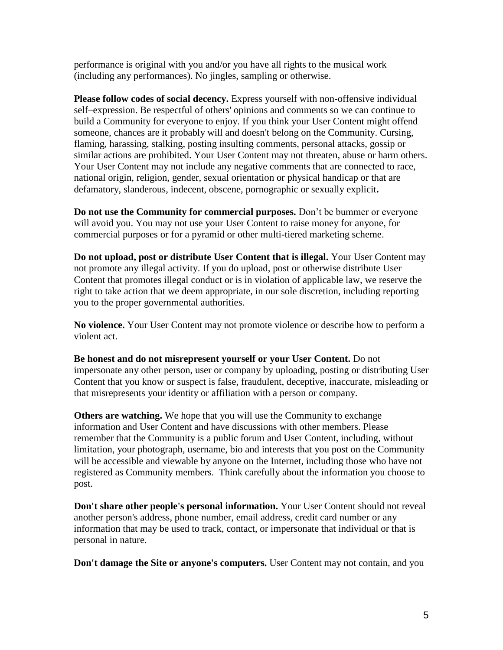performance is original with you and/or you have all rights to the musical work (including any performances). No jingles, sampling or otherwise.

**Please follow codes of social decency.** Express yourself with non-offensive individual self–expression. Be respectful of others' opinions and comments so we can continue to build a Community for everyone to enjoy. If you think your User Content might offend someone, chances are it probably will and doesn't belong on the Community. Cursing, flaming, harassing, stalking, posting insulting comments, personal attacks, gossip or similar actions are prohibited. Your User Content may not threaten, abuse or harm others. Your User Content may not include any negative comments that are connected to race, national origin, religion, gender, sexual orientation or physical handicap or that are defamatory, slanderous, indecent, obscene, pornographic or sexually explicit**.** 

**Do not use the Community for commercial purposes.** Don't be bummer or everyone will avoid you. You may not use your User Content to raise money for anyone, for commercial purposes or for a pyramid or other multi-tiered marketing scheme.

**Do not upload, post or distribute User Content that is illegal.** Your User Content may not promote any illegal activity. If you do upload, post or otherwise distribute User Content that promotes illegal conduct or is in violation of applicable law, we reserve the right to take action that we deem appropriate, in our sole discretion, including reporting you to the proper governmental authorities.

**No violence.** Your User Content may not promote violence or describe how to perform a violent act.

**Be honest and do not misrepresent yourself or your User Content.** Do not impersonate any other person, user or company by uploading, posting or distributing User Content that you know or suspect is false, fraudulent, deceptive, inaccurate, misleading or that misrepresents your identity or affiliation with a person or company.

**Others are watching.** We hope that you will use the Community to exchange information and User Content and have discussions with other members. Please remember that the Community is a public forum and User Content, including, without limitation, your photograph, username, bio and interests that you post on the Community will be accessible and viewable by anyone on the Internet, including those who have not registered as Community members. Think carefully about the information you choose to post.

**Don't share other people's personal information.** Your User Content should not reveal another person's address, phone number, email address, credit card number or any information that may be used to track, contact, or impersonate that individual or that is personal in nature.

**Don't damage the Site or anyone's computers.** User Content may not contain, and you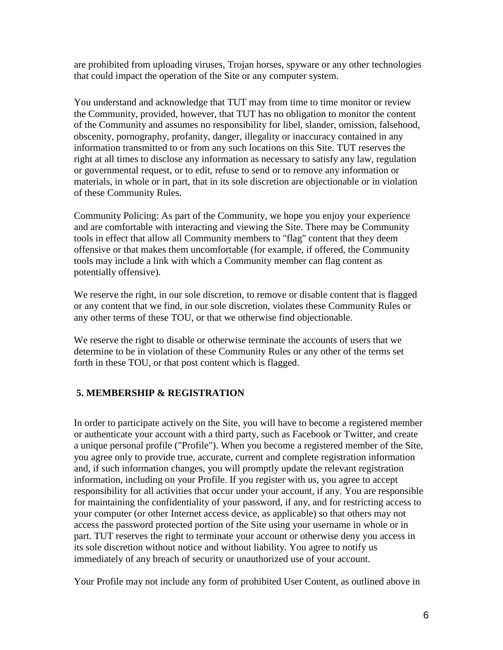are prohibited from uploading viruses, Trojan horses, spyware or any other technologies that could impact the operation of the Site or any computer system.

You understand and acknowledge that TUT may from time to time monitor or review the Community, provided, however, that TUT has no obligation to monitor the content of the Community and assumes no responsibility for libel, slander, omission, falsehood, obscenity, pornography, profanity, danger, illegality or inaccuracy contained in any information transmitted to or from any such locations on this Site. TUT reserves the right at all times to disclose any information as necessary to satisfy any law, regulation or governmental request, or to edit, refuse to send or to remove any information or materials, in whole or in part, that in its sole discretion are objectionable or in violation of these Community Rules.

Community Policing: As part of the Community, we hope you enjoy your experience and are comfortable with interacting and viewing the Site. There may be Community tools in effect that allow all Community members to "flag" content that they deem offensive or that makes them uncomfortable (for example, if offered, the Community tools may include a link with which a Community member can flag content as potentially offensive).

We reserve the right, in our sole discretion, to remove or disable content that is flagged or any content that we find, in our sole discretion, violates these Community Rules or any other terms of these TOU, or that we otherwise find objectionable.

We reserve the right to disable or otherwise terminate the accounts of users that we determine to be in violation of these Community Rules or any other of the terms set forth in these TOU, or that post content which is flagged.

# **5. MEMBERSHIP & REGISTRATION**

In order to participate actively on the Site, you will have to become a registered member or authenticate your account with a third party, such as Facebook or Twitter, and create a unique personal profile ("Profile"). When you become a registered member of the Site, you agree only to provide true, accurate, current and complete registration information and, if such information changes, you will promptly update the relevant registration information, including on your Profile. If you register with us, you agree to accept responsibility for all activities that occur under your account, if any. You are responsible for maintaining the confidentiality of your password, if any, and for restricting access to your computer (or other Internet access device, as applicable) so that others may not access the password protected portion of the Site using your username in whole or in part. TUT reserves the right to terminate your account or otherwise deny you access in its sole discretion without notice and without liability. You agree to notify us immediately of any breach of security or unauthorized use of your account.

Your Profile may not include any form of prohibited User Content, as outlined above in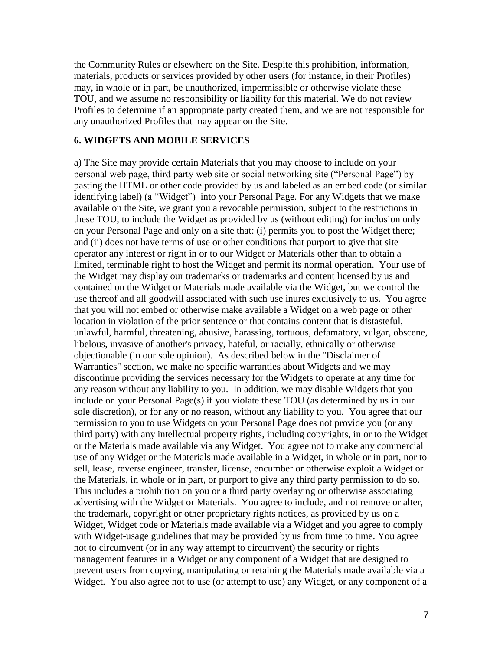the Community Rules or elsewhere on the Site. Despite this prohibition, information, materials, products or services provided by other users (for instance, in their Profiles) may, in whole or in part, be unauthorized, impermissible or otherwise violate these TOU, and we assume no responsibility or liability for this material. We do not review Profiles to determine if an appropriate party created them, and we are not responsible for any unauthorized Profiles that may appear on the Site.

#### **6. WIDGETS AND MOBILE SERVICES**

a) The Site may provide certain Materials that you may choose to include on your personal web page, third party web site or social networking site ("Personal Page") by pasting the HTML or other code provided by us and labeled as an embed code (or similar identifying label) (a "Widget") into your Personal Page. For any Widgets that we make available on the Site, we grant you a revocable permission, subject to the restrictions in these TOU, to include the Widget as provided by us (without editing) for inclusion only on your Personal Page and only on a site that: (i) permits you to post the Widget there; and (ii) does not have terms of use or other conditions that purport to give that site operator any interest or right in or to our Widget or Materials other than to obtain a limited, terminable right to host the Widget and permit its normal operation. Your use of the Widget may display our trademarks or trademarks and content licensed by us and contained on the Widget or Materials made available via the Widget, but we control the use thereof and all goodwill associated with such use inures exclusively to us. You agree that you will not embed or otherwise make available a Widget on a web page or other location in violation of the prior sentence or that contains content that is distasteful, unlawful, harmful, threatening, abusive, harassing, tortuous, defamatory, vulgar, obscene, libelous, invasive of another's privacy, hateful, or racially, ethnically or otherwise objectionable (in our sole opinion). As described below in the "Disclaimer of Warranties" section, we make no specific warranties about Widgets and we may discontinue providing the services necessary for the Widgets to operate at any time for any reason without any liability to you. In addition, we may disable Widgets that you include on your Personal Page(s) if you violate these TOU (as determined by us in our sole discretion), or for any or no reason, without any liability to you. You agree that our permission to you to use Widgets on your Personal Page does not provide you (or any third party) with any intellectual property rights, including copyrights, in or to the Widget or the Materials made available via any Widget. You agree not to make any commercial use of any Widget or the Materials made available in a Widget, in whole or in part, nor to sell, lease, reverse engineer, transfer, license, encumber or otherwise exploit a Widget or the Materials, in whole or in part, or purport to give any third party permission to do so. This includes a prohibition on you or a third party overlaying or otherwise associating advertising with the Widget or Materials. You agree to include, and not remove or alter, the trademark, copyright or other proprietary rights notices, as provided by us on a Widget, Widget code or Materials made available via a Widget and you agree to comply with Widget-usage guidelines that may be provided by us from time to time. You agree not to circumvent (or in any way attempt to circumvent) the security or rights management features in a Widget or any component of a Widget that are designed to prevent users from copying, manipulating or retaining the Materials made available via a Widget. You also agree not to use (or attempt to use) any Widget, or any component of a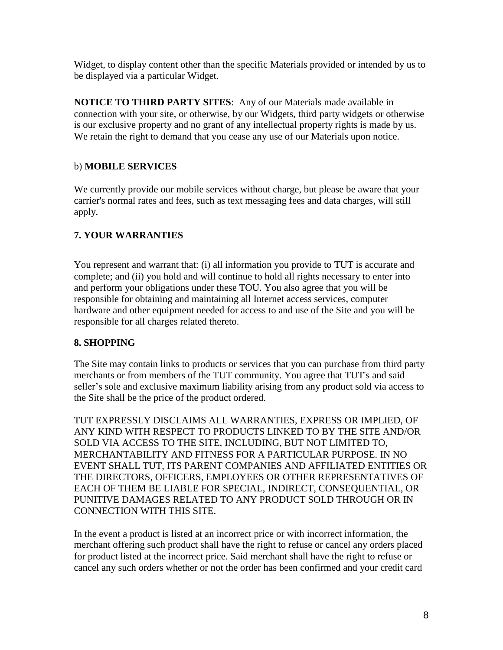Widget, to display content other than the specific Materials provided or intended by us to be displayed via a particular Widget.

**NOTICE TO THIRD PARTY SITES**: Any of our Materials made available in connection with your site, or otherwise, by our Widgets, third party widgets or otherwise is our exclusive property and no grant of any intellectual property rights is made by us. We retain the right to demand that you cease any use of our Materials upon notice.

## b) **MOBILE SERVICES**

We currently provide our mobile services without charge, but please be aware that your carrier's normal rates and fees, such as text messaging fees and data charges, will still apply.

# **7. YOUR WARRANTIES**

You represent and warrant that: (i) all information you provide to TUT is accurate and complete; and (ii) you hold and will continue to hold all rights necessary to enter into and perform your obligations under these TOU. You also agree that you will be responsible for obtaining and maintaining all Internet access services, computer hardware and other equipment needed for access to and use of the Site and you will be responsible for all charges related thereto.

# **8. SHOPPING**

The Site may contain links to products or services that you can purchase from third party merchants or from members of the TUT community. You agree that TUT's and said seller's sole and exclusive maximum liability arising from any product sold via access to the Site shall be the price of the product ordered.

TUT EXPRESSLY DISCLAIMS ALL WARRANTIES, EXPRESS OR IMPLIED, OF ANY KIND WITH RESPECT TO PRODUCTS LINKED TO BY THE SITE AND/OR SOLD VIA ACCESS TO THE SITE, INCLUDING, BUT NOT LIMITED TO, MERCHANTABILITY AND FITNESS FOR A PARTICULAR PURPOSE. IN NO EVENT SHALL TUT, ITS PARENT COMPANIES AND AFFILIATED ENTITIES OR THE DIRECTORS, OFFICERS, EMPLOYEES OR OTHER REPRESENTATIVES OF EACH OF THEM BE LIABLE FOR SPECIAL, INDIRECT, CONSEQUENTIAL, OR PUNITIVE DAMAGES RELATED TO ANY PRODUCT SOLD THROUGH OR IN CONNECTION WITH THIS SITE.

In the event a product is listed at an incorrect price or with incorrect information, the merchant offering such product shall have the right to refuse or cancel any orders placed for product listed at the incorrect price. Said merchant shall have the right to refuse or cancel any such orders whether or not the order has been confirmed and your credit card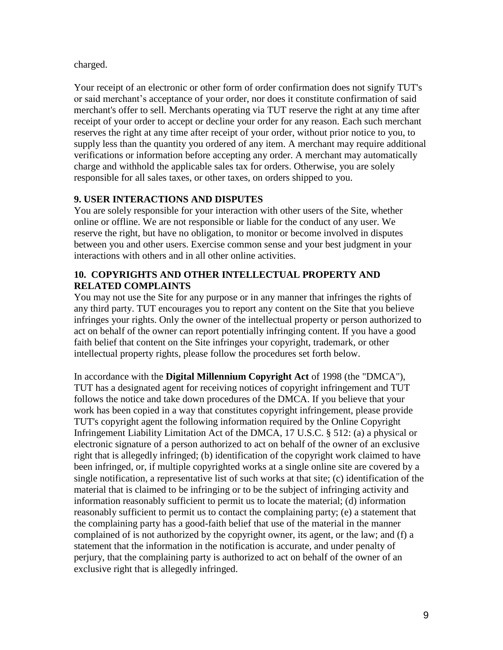charged.

Your receipt of an electronic or other form of order confirmation does not signify TUT's or said merchant's acceptance of your order, nor does it constitute confirmation of said merchant's offer to sell. Merchants operating via TUT reserve the right at any time after receipt of your order to accept or decline your order for any reason. Each such merchant reserves the right at any time after receipt of your order, without prior notice to you, to supply less than the quantity you ordered of any item. A merchant may require additional verifications or information before accepting any order. A merchant may automatically charge and withhold the applicable sales tax for orders. Otherwise, you are solely responsible for all sales taxes, or other taxes, on orders shipped to you.

## **9. USER INTERACTIONS AND DISPUTES**

You are solely responsible for your interaction with other users of the Site, whether online or offline. We are not responsible or liable for the conduct of any user. We reserve the right, but have no obligation, to monitor or become involved in disputes between you and other users. Exercise common sense and your best judgment in your interactions with others and in all other online activities.

#### **10. COPYRIGHTS AND OTHER INTELLECTUAL PROPERTY AND RELATED COMPLAINTS**

You may not use the Site for any purpose or in any manner that infringes the rights of any third party. TUT encourages you to report any content on the Site that you believe infringes your rights. Only the owner of the intellectual property or person authorized to act on behalf of the owner can report potentially infringing content. If you have a good faith belief that content on the Site infringes your copyright, trademark, or other intellectual property rights, please follow the procedures set forth below.

In accordance with the **Digital Millennium Copyright Act** of 1998 (the "DMCA"), TUT has a designated agent for receiving notices of copyright infringement and TUT follows the notice and take down procedures of the DMCA. If you believe that your work has been copied in a way that constitutes copyright infringement, please provide TUT's copyright agent the following information required by the Online Copyright Infringement Liability Limitation Act of the DMCA, 17 U.S.C. § 512: (a) a physical or electronic signature of a person authorized to act on behalf of the owner of an exclusive right that is allegedly infringed; (b) identification of the copyright work claimed to have been infringed, or, if multiple copyrighted works at a single online site are covered by a single notification, a representative list of such works at that site; (c) identification of the material that is claimed to be infringing or to be the subject of infringing activity and information reasonably sufficient to permit us to locate the material; (d) information reasonably sufficient to permit us to contact the complaining party; (e) a statement that the complaining party has a good-faith belief that use of the material in the manner complained of is not authorized by the copyright owner, its agent, or the law; and (f) a statement that the information in the notification is accurate, and under penalty of perjury, that the complaining party is authorized to act on behalf of the owner of an exclusive right that is allegedly infringed.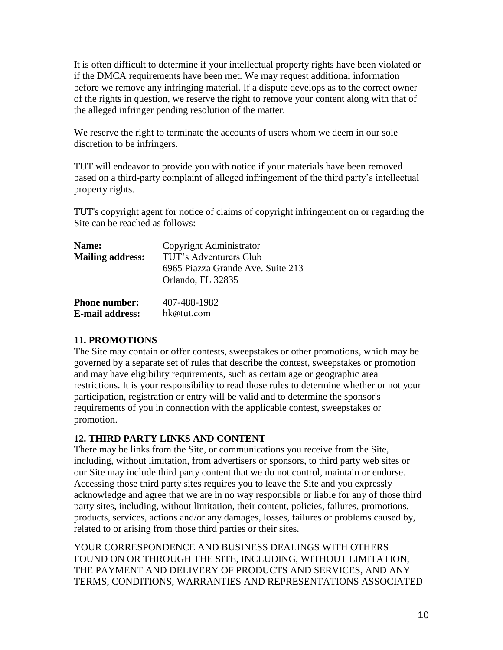It is often difficult to determine if your intellectual property rights have been violated or if the DMCA requirements have been met. We may request additional information before we remove any infringing material. If a dispute develops as to the correct owner of the rights in question, we reserve the right to remove your content along with that of the alleged infringer pending resolution of the matter.

We reserve the right to terminate the accounts of users whom we deem in our sole discretion to be infringers.

TUT will endeavor to provide you with notice if your materials have been removed based on a third-party complaint of alleged infringement of the third party's intellectual property rights.

TUT's copyright agent for notice of claims of copyright infringement on or regarding the Site can be reached as follows:

| Name:                                           | Copyright Administrator                                     |
|-------------------------------------------------|-------------------------------------------------------------|
| <b>Mailing address:</b><br><b>Phone number:</b> | TUT's Adventurers Club<br>6965 Piazza Grande Ave. Suite 213 |
|                                                 | Orlando, FL 32835<br>407-488-1982                           |
| E-mail address:                                 | hk@tut.com                                                  |

#### **11. PROMOTIONS**

The Site may contain or offer contests, sweepstakes or other promotions, which may be governed by a separate set of rules that describe the contest, sweepstakes or promotion and may have eligibility requirements, such as certain age or geographic area restrictions. It is your responsibility to read those rules to determine whether or not your participation, registration or entry will be valid and to determine the sponsor's requirements of you in connection with the applicable contest, sweepstakes or promotion.

#### **12. THIRD PARTY LINKS AND CONTENT**

There may be links from the Site, or communications you receive from the Site, including, without limitation, from advertisers or sponsors, to third party web sites or our Site may include third party content that we do not control, maintain or endorse. Accessing those third party sites requires you to leave the Site and you expressly acknowledge and agree that we are in no way responsible or liable for any of those third party sites, including, without limitation, their content, policies, failures, promotions, products, services, actions and/or any damages, losses, failures or problems caused by, related to or arising from those third parties or their sites.

YOUR CORRESPONDENCE AND BUSINESS DEALINGS WITH OTHERS FOUND ON OR THROUGH THE SITE, INCLUDING, WITHOUT LIMITATION, THE PAYMENT AND DELIVERY OF PRODUCTS AND SERVICES, AND ANY TERMS, CONDITIONS, WARRANTIES AND REPRESENTATIONS ASSOCIATED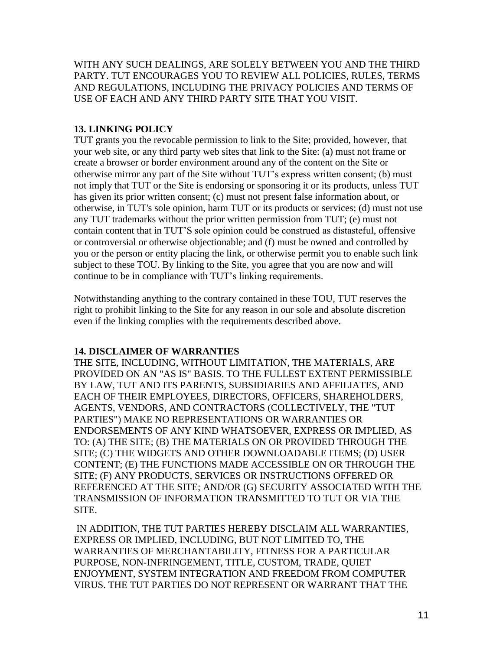WITH ANY SUCH DEALINGS, ARE SOLELY BETWEEN YOU AND THE THIRD PARTY. TUT ENCOURAGES YOU TO REVIEW ALL POLICIES, RULES, TERMS AND REGULATIONS, INCLUDING THE PRIVACY POLICIES AND TERMS OF USE OF EACH AND ANY THIRD PARTY SITE THAT YOU VISIT.

## **13. LINKING POLICY**

TUT grants you the revocable permission to link to the Site; provided, however, that your web site, or any third party web sites that link to the Site: (a) must not frame or create a browser or border environment around any of the content on the Site or otherwise mirror any part of the Site without TUT's express written consent; (b) must not imply that TUT or the Site is endorsing or sponsoring it or its products, unless TUT has given its prior written consent; (c) must not present false information about, or otherwise, in TUT's sole opinion, harm TUT or its products or services; (d) must not use any TUT trademarks without the prior written permission from TUT; (e) must not contain content that in TUT'S sole opinion could be construed as distasteful, offensive or controversial or otherwise objectionable; and (f) must be owned and controlled by you or the person or entity placing the link, or otherwise permit you to enable such link subject to these TOU. By linking to the Site, you agree that you are now and will continue to be in compliance with TUT's linking requirements.

Notwithstanding anything to the contrary contained in these TOU, TUT reserves the right to prohibit linking to the Site for any reason in our sole and absolute discretion even if the linking complies with the requirements described above.

#### **14. DISCLAIMER OF WARRANTIES**

THE SITE, INCLUDING, WITHOUT LIMITATION, THE MATERIALS, ARE PROVIDED ON AN "AS IS" BASIS. TO THE FULLEST EXTENT PERMISSIBLE BY LAW, TUT AND ITS PARENTS, SUBSIDIARIES AND AFFILIATES, AND EACH OF THEIR EMPLOYEES, DIRECTORS, OFFICERS, SHAREHOLDERS, AGENTS, VENDORS, AND CONTRACTORS (COLLECTIVELY, THE "TUT PARTIES") MAKE NO REPRESENTATIONS OR WARRANTIES OR ENDORSEMENTS OF ANY KIND WHATSOEVER, EXPRESS OR IMPLIED, AS TO: (A) THE SITE; (B) THE MATERIALS ON OR PROVIDED THROUGH THE SITE; (C) THE WIDGETS AND OTHER DOWNLOADABLE ITEMS; (D) USER CONTENT; (E) THE FUNCTIONS MADE ACCESSIBLE ON OR THROUGH THE SITE; (F) ANY PRODUCTS, SERVICES OR INSTRUCTIONS OFFERED OR REFERENCED AT THE SITE; AND/OR (G) SECURITY ASSOCIATED WITH THE TRANSMISSION OF INFORMATION TRANSMITTED TO TUT OR VIA THE SITE.

 IN ADDITION, THE TUT PARTIES HEREBY DISCLAIM ALL WARRANTIES, EXPRESS OR IMPLIED, INCLUDING, BUT NOT LIMITED TO, THE WARRANTIES OF MERCHANTABILITY, FITNESS FOR A PARTICULAR PURPOSE, NON-INFRINGEMENT, TITLE, CUSTOM, TRADE, QUIET ENJOYMENT, SYSTEM INTEGRATION AND FREEDOM FROM COMPUTER VIRUS. THE TUT PARTIES DO NOT REPRESENT OR WARRANT THAT THE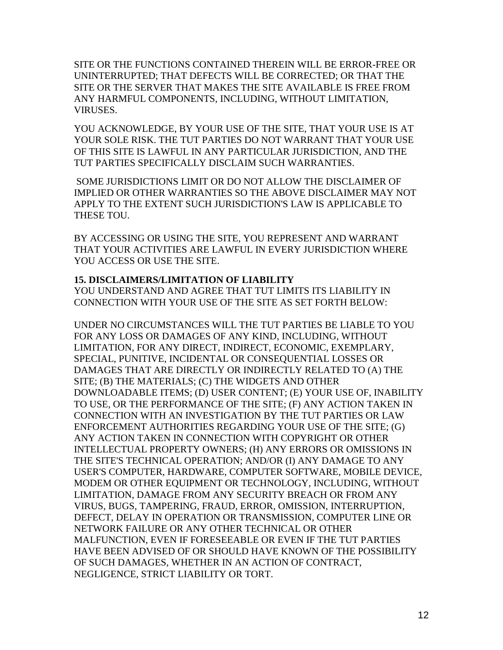SITE OR THE FUNCTIONS CONTAINED THEREIN WILL BE ERROR-FREE OR UNINTERRUPTED; THAT DEFECTS WILL BE CORRECTED; OR THAT THE SITE OR THE SERVER THAT MAKES THE SITE AVAILABLE IS FREE FROM ANY HARMFUL COMPONENTS, INCLUDING, WITHOUT LIMITATION, VIRUSES.

YOU ACKNOWLEDGE, BY YOUR USE OF THE SITE, THAT YOUR USE IS AT YOUR SOLE RISK. THE TUT PARTIES DO NOT WARRANT THAT YOUR USE OF THIS SITE IS LAWFUL IN ANY PARTICULAR JURISDICTION, AND THE TUT PARTIES SPECIFICALLY DISCLAIM SUCH WARRANTIES.

SOME JURISDICTIONS LIMIT OR DO NOT ALLOW THE DISCLAIMER OF IMPLIED OR OTHER WARRANTIES SO THE ABOVE DISCLAIMER MAY NOT APPLY TO THE EXTENT SUCH JURISDICTION'S LAW IS APPLICABLE TO THESE TOU.

BY ACCESSING OR USING THE SITE, YOU REPRESENT AND WARRANT THAT YOUR ACTIVITIES ARE LAWFUL IN EVERY JURISDICTION WHERE YOU ACCESS OR USE THE SITE.

#### **15. DISCLAIMERS/LIMITATION OF LIABILITY**

YOU UNDERSTAND AND AGREE THAT TUT LIMITS ITS LIABILITY IN CONNECTION WITH YOUR USE OF THE SITE AS SET FORTH BELOW:

UNDER NO CIRCUMSTANCES WILL THE TUT PARTIES BE LIABLE TO YOU FOR ANY LOSS OR DAMAGES OF ANY KIND, INCLUDING, WITHOUT LIMITATION, FOR ANY DIRECT, INDIRECT, ECONOMIC, EXEMPLARY, SPECIAL, PUNITIVE, INCIDENTAL OR CONSEQUENTIAL LOSSES OR DAMAGES THAT ARE DIRECTLY OR INDIRECTLY RELATED TO (A) THE SITE; (B) THE MATERIALS; (C) THE WIDGETS AND OTHER DOWNLOADABLE ITEMS; (D) USER CONTENT; (E) YOUR USE OF, INABILITY TO USE, OR THE PERFORMANCE OF THE SITE; (F) ANY ACTION TAKEN IN CONNECTION WITH AN INVESTIGATION BY THE TUT PARTIES OR LAW ENFORCEMENT AUTHORITIES REGARDING YOUR USE OF THE SITE; (G) ANY ACTION TAKEN IN CONNECTION WITH COPYRIGHT OR OTHER INTELLECTUAL PROPERTY OWNERS; (H) ANY ERRORS OR OMISSIONS IN THE SITE'S TECHNICAL OPERATION; AND/OR (I) ANY DAMAGE TO ANY USER'S COMPUTER, HARDWARE, COMPUTER SOFTWARE, MOBILE DEVICE, MODEM OR OTHER EQUIPMENT OR TECHNOLOGY, INCLUDING, WITHOUT LIMITATION, DAMAGE FROM ANY SECURITY BREACH OR FROM ANY VIRUS, BUGS, TAMPERING, FRAUD, ERROR, OMISSION, INTERRUPTION, DEFECT, DELAY IN OPERATION OR TRANSMISSION, COMPUTER LINE OR NETWORK FAILURE OR ANY OTHER TECHNICAL OR OTHER MALFUNCTION, EVEN IF FORESEEABLE OR EVEN IF THE TUT PARTIES HAVE BEEN ADVISED OF OR SHOULD HAVE KNOWN OF THE POSSIBILITY OF SUCH DAMAGES, WHETHER IN AN ACTION OF CONTRACT, NEGLIGENCE, STRICT LIABILITY OR TORT.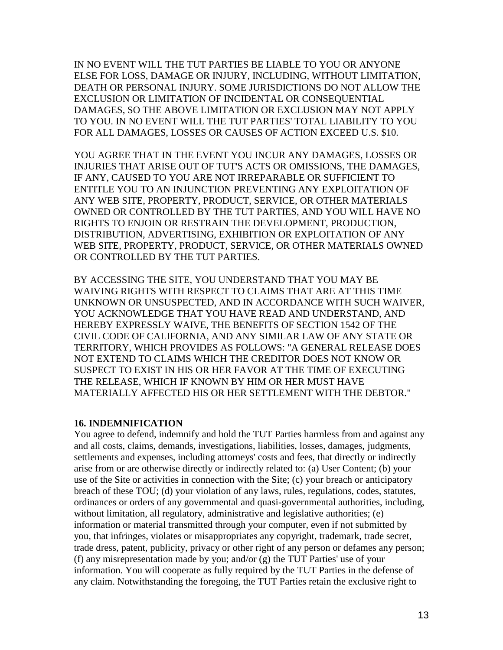IN NO EVENT WILL THE TUT PARTIES BE LIABLE TO YOU OR ANYONE ELSE FOR LOSS, DAMAGE OR INJURY, INCLUDING, WITHOUT LIMITATION, DEATH OR PERSONAL INJURY. SOME JURISDICTIONS DO NOT ALLOW THE EXCLUSION OR LIMITATION OF INCIDENTAL OR CONSEQUENTIAL DAMAGES, SO THE ABOVE LIMITATION OR EXCLUSION MAY NOT APPLY TO YOU. IN NO EVENT WILL THE TUT PARTIES' TOTAL LIABILITY TO YOU FOR ALL DAMAGES, LOSSES OR CAUSES OF ACTION EXCEED U.S. \$10.

YOU AGREE THAT IN THE EVENT YOU INCUR ANY DAMAGES, LOSSES OR INJURIES THAT ARISE OUT OF TUT'S ACTS OR OMISSIONS, THE DAMAGES, IF ANY, CAUSED TO YOU ARE NOT IRREPARABLE OR SUFFICIENT TO ENTITLE YOU TO AN INJUNCTION PREVENTING ANY EXPLOITATION OF ANY WEB SITE, PROPERTY, PRODUCT, SERVICE, OR OTHER MATERIALS OWNED OR CONTROLLED BY THE TUT PARTIES, AND YOU WILL HAVE NO RIGHTS TO ENJOIN OR RESTRAIN THE DEVELOPMENT, PRODUCTION, DISTRIBUTION, ADVERTISING, EXHIBITION OR EXPLOITATION OF ANY WEB SITE, PROPERTY, PRODUCT, SERVICE, OR OTHER MATERIALS OWNED OR CONTROLLED BY THE TUT PARTIES.

BY ACCESSING THE SITE, YOU UNDERSTAND THAT YOU MAY BE WAIVING RIGHTS WITH RESPECT TO CLAIMS THAT ARE AT THIS TIME UNKNOWN OR UNSUSPECTED, AND IN ACCORDANCE WITH SUCH WAIVER, YOU ACKNOWLEDGE THAT YOU HAVE READ AND UNDERSTAND, AND HEREBY EXPRESSLY WAIVE, THE BENEFITS OF SECTION 1542 OF THE CIVIL CODE OF CALIFORNIA, AND ANY SIMILAR LAW OF ANY STATE OR TERRITORY, WHICH PROVIDES AS FOLLOWS: "A GENERAL RELEASE DOES NOT EXTEND TO CLAIMS WHICH THE CREDITOR DOES NOT KNOW OR SUSPECT TO EXIST IN HIS OR HER FAVOR AT THE TIME OF EXECUTING THE RELEASE, WHICH IF KNOWN BY HIM OR HER MUST HAVE MATERIALLY AFFECTED HIS OR HER SETTLEMENT WITH THE DEBTOR."

#### **16. INDEMNIFICATION**

You agree to defend, indemnify and hold the TUT Parties harmless from and against any and all costs, claims, demands, investigations, liabilities, losses, damages, judgments, settlements and expenses, including attorneys' costs and fees, that directly or indirectly arise from or are otherwise directly or indirectly related to: (a) User Content; (b) your use of the Site or activities in connection with the Site; (c) your breach or anticipatory breach of these TOU; (d) your violation of any laws, rules, regulations, codes, statutes, ordinances or orders of any governmental and quasi-governmental authorities, including, without limitation, all regulatory, administrative and legislative authorities; (e) information or material transmitted through your computer, even if not submitted by you, that infringes, violates or misappropriates any copyright, trademark, trade secret, trade dress, patent, publicity, privacy or other right of any person or defames any person; (f) any misrepresentation made by you; and/or (g) the TUT Parties' use of your information. You will cooperate as fully required by the TUT Parties in the defense of any claim. Notwithstanding the foregoing, the TUT Parties retain the exclusive right to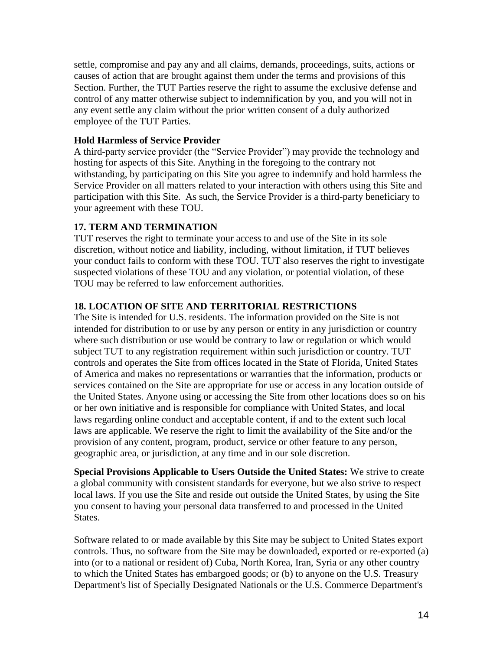settle, compromise and pay any and all claims, demands, proceedings, suits, actions or causes of action that are brought against them under the terms and provisions of this Section. Further, the TUT Parties reserve the right to assume the exclusive defense and control of any matter otherwise subject to indemnification by you, and you will not in any event settle any claim without the prior written consent of a duly authorized employee of the TUT Parties.

#### **Hold Harmless of Service Provider**

A third-party service provider (the "Service Provider") may provide the technology and hosting for aspects of this Site. Anything in the foregoing to the contrary not withstanding, by participating on this Site you agree to indemnify and hold harmless the Service Provider on all matters related to your interaction with others using this Site and participation with this Site. As such, the Service Provider is a third-party beneficiary to your agreement with these TOU.

#### **17. TERM AND TERMINATION**

TUT reserves the right to terminate your access to and use of the Site in its sole discretion, without notice and liability, including, without limitation, if TUT believes your conduct fails to conform with these TOU. TUT also reserves the right to investigate suspected violations of these TOU and any violation, or potential violation, of these TOU may be referred to law enforcement authorities.

#### **18. LOCATION OF SITE AND TERRITORIAL RESTRICTIONS**

The Site is intended for U.S. residents. The information provided on the Site is not intended for distribution to or use by any person or entity in any jurisdiction or country where such distribution or use would be contrary to law or regulation or which would subject TUT to any registration requirement within such jurisdiction or country. TUT controls and operates the Site from offices located in the State of Florida, United States of America and makes no representations or warranties that the information, products or services contained on the Site are appropriate for use or access in any location outside of the United States. Anyone using or accessing the Site from other locations does so on his or her own initiative and is responsible for compliance with United States, and local laws regarding online conduct and acceptable content, if and to the extent such local laws are applicable. We reserve the right to limit the availability of the Site and/or the provision of any content, program, product, service or other feature to any person, geographic area, or jurisdiction, at any time and in our sole discretion.

**Special Provisions Applicable to Users Outside the United States:** We strive to create a global community with consistent standards for everyone, but we also strive to respect local laws. If you use the Site and reside out outside the United States, by using the Site you consent to having your personal data transferred to and processed in the United States.

Software related to or made available by this Site may be subject to United States export controls. Thus, no software from the Site may be downloaded, exported or re-exported (a) into (or to a national or resident of) Cuba, North Korea, Iran, Syria or any other country to which the United States has embargoed goods; or (b) to anyone on the U.S. Treasury Department's list of Specially Designated Nationals or the U.S. Commerce Department's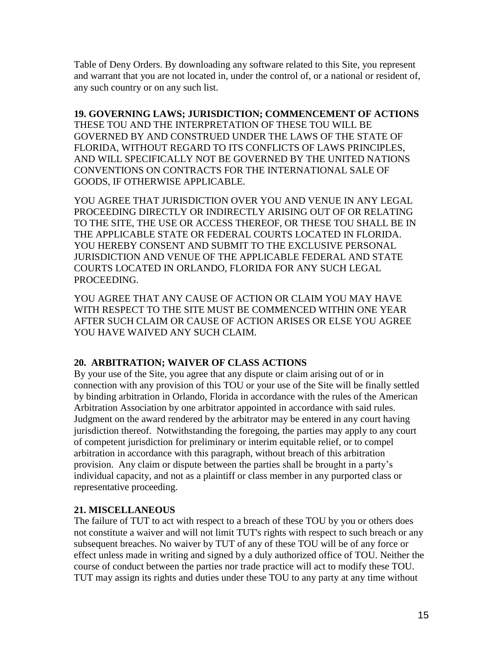Table of Deny Orders. By downloading any software related to this Site, you represent and warrant that you are not located in, under the control of, or a national or resident of, any such country or on any such list.

**19. GOVERNING LAWS; JURISDICTION; COMMENCEMENT OF ACTIONS**

THESE TOU AND THE INTERPRETATION OF THESE TOU WILL BE GOVERNED BY AND CONSTRUED UNDER THE LAWS OF THE STATE OF FLORIDA, WITHOUT REGARD TO ITS CONFLICTS OF LAWS PRINCIPLES, AND WILL SPECIFICALLY NOT BE GOVERNED BY THE UNITED NATIONS CONVENTIONS ON CONTRACTS FOR THE INTERNATIONAL SALE OF GOODS, IF OTHERWISE APPLICABLE.

YOU AGREE THAT JURISDICTION OVER YOU AND VENUE IN ANY LEGAL PROCEEDING DIRECTLY OR INDIRECTLY ARISING OUT OF OR RELATING TO THE SITE, THE USE OR ACCESS THEREOF, OR THESE TOU SHALL BE IN THE APPLICABLE STATE OR FEDERAL COURTS LOCATED IN FLORIDA. YOU HEREBY CONSENT AND SUBMIT TO THE EXCLUSIVE PERSONAL JURISDICTION AND VENUE OF THE APPLICABLE FEDERAL AND STATE COURTS LOCATED IN ORLANDO, FLORIDA FOR ANY SUCH LEGAL PROCEEDING.

YOU AGREE THAT ANY CAUSE OF ACTION OR CLAIM YOU MAY HAVE WITH RESPECT TO THE SITE MUST BE COMMENCED WITHIN ONE YEAR AFTER SUCH CLAIM OR CAUSE OF ACTION ARISES OR ELSE YOU AGREE YOU HAVE WAIVED ANY SUCH CLAIM.

#### **20. ARBITRATION; WAIVER OF CLASS ACTIONS**

By your use of the Site, you agree that any dispute or claim arising out of or in connection with any provision of this TOU or your use of the Site will be finally settled by binding arbitration in Orlando, Florida in accordance with the rules of the American Arbitration Association by one arbitrator appointed in accordance with said rules. Judgment on the award rendered by the arbitrator may be entered in any court having jurisdiction thereof. Notwithstanding the foregoing, the parties may apply to any court of competent jurisdiction for preliminary or interim equitable relief, or to compel arbitration in accordance with this paragraph, without breach of this arbitration provision. Any claim or dispute between the parties shall be brought in a party's individual capacity, and not as a plaintiff or class member in any purported class or representative proceeding.

# **21. MISCELLANEOUS**

The failure of TUT to act with respect to a breach of these TOU by you or others does not constitute a waiver and will not limit TUT's rights with respect to such breach or any subsequent breaches. No waiver by TUT of any of these TOU will be of any force or effect unless made in writing and signed by a duly authorized office of TOU. Neither the course of conduct between the parties nor trade practice will act to modify these TOU. TUT may assign its rights and duties under these TOU to any party at any time without